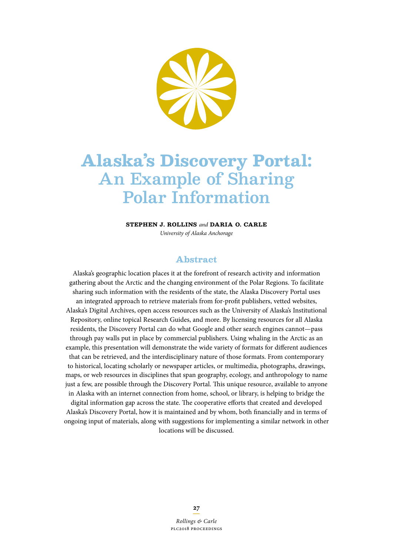

# **Alaska's Discovery Portal:**  An Example of Sharing Polar Information

**Stephen J. Rollins** *and* **Daria O. Carle**  *University of Alaska Anchorage*

### **Abstract**

Alaska's geographic location places it at the forefront of research activity and information gathering about the Arctic and the changing environment of the Polar Regions. To facilitate sharing such information with the residents of the state, the Alaska Discovery Portal uses an integrated approach to retrieve materials from for-proft publishers, vetted websites, Alaska's Digital Archives, open access resources such as the University of Alaska's Institutional Repository, online topical Research Guides, and more. By licensing resources for all Alaska residents, the Discovery Portal can do what Google and other search engines cannot—pass through pay walls put in place by commercial publishers. Using whaling in the Arctic as an example, this presentation will demonstrate the wide variety of formats for diferent audiences that can be retrieved, and the interdisciplinary nature of those formats. From contemporary to historical, locating scholarly or newspaper articles, or multimedia, photographs, drawings, maps, or web resources in disciplines that span geography, ecology, and anthropology to name just a few, are possible through the Discovery Portal. This unique resource, available to anyone in Alaska with an internet connection from home, school, or library, is helping to bridge the digital information gap across the state. The cooperative efforts that created and developed Alaska's Discovery Portal, how it is maintained and by whom, both fnancially and in terms of

ongoing input of materials, along with suggestions for implementing a similar network in other locations will be discussed.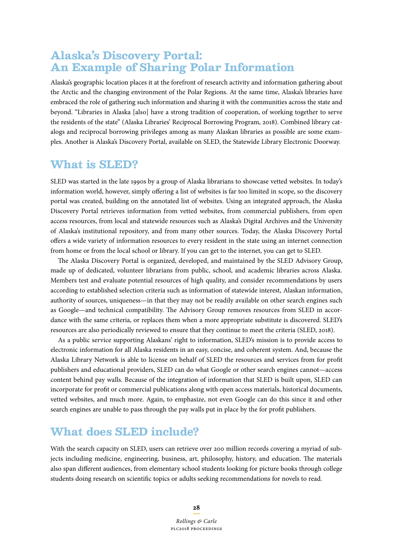### **Alaska's Discovery Portal: An Example of Sharing Polar Information**

Alaska's geographic location places it at the forefront of research activity and information gathering about the Arctic and the changing environment of the Polar Regions. At the same time, Alaska's libraries have embraced the role of gathering such information and sharing it with the communities across the state and beyond. "Libraries in Alaska [also] have a strong tradition of cooperation, of working together to serve the residents of the state" (Alaska Libraries' Reciprocal Borrowing Program, 2018). Combined library catalogs and reciprocal borrowing privileges among as many Alaskan libraries as possible are some examples. Another is Alaska's Discovery Portal, available on SLED, the Statewide Library Electronic Doorway.

### **What is SLED?**

SLED was started in the late 1990s by a group of Alaska librarians to showcase vetted websites. In today's information world, however, simply ofering a list of websites is far too limited in scope, so the discovery portal was created, building on the annotated list of websites. Using an integrated approach, the Alaska Discovery Portal retrieves information from vetted websites, from commercial publishers, from open access resources, from local and statewide resources such as Alaska's Digital Archives and the University of Alaska's institutional repository, and from many other sources. Today, the Alaska Discovery Portal ofers a wide variety of information resources to every resident in the state using an internet connection from home or from the local school or library. If you can get to the internet, you can get to SLED.

The Alaska Discovery Portal is organized, developed, and maintained by the SLED Advisory Group, made up of dedicated, volunteer librarians from public, school, and academic libraries across Alaska. Members test and evaluate potential resources of high quality, and consider recommendations by users according to established selection criteria such as information of statewide interest, Alaskan information, authority of sources, uniqueness—in that they may not be readily available on other search engines such as Google—and technical compatibility. The Advisory Group removes resources from SLED in accordance with the same criteria, or replaces them when a more appropriate substitute is discovered. SLED's resources are also periodically reviewed to ensure that they continue to meet the criteria (SLED, 2018).

As a public service supporting Alaskans' right to information, SLED's mission is to provide access to electronic information for all Alaska residents in an easy, concise, and coherent system. And, because the Alaska Library Network is able to license on behalf of SLED the resources and services from for proft publishers and educational providers, SLED can do what Google or other search engines cannot—access content behind pay walls. Because of the integration of information that SLED is built upon, SLED can incorporate for proft or commercial publications along with open access materials, historical documents, vetted websites, and much more. Again, to emphasize, not even Google can do this since it and other search engines are unable to pass through the pay walls put in place by the for proft publishers.

### **What does SLED include?**

With the search capacity on SLED, users can retrieve over 200 million records covering a myriad of subjects including medicine, engineering, business, art, philosophy, history, and education. The materials also span diferent audiences, from elementary school students looking for picture books through college students doing research on scientifc topics or adults seeking recommendations for novels to read.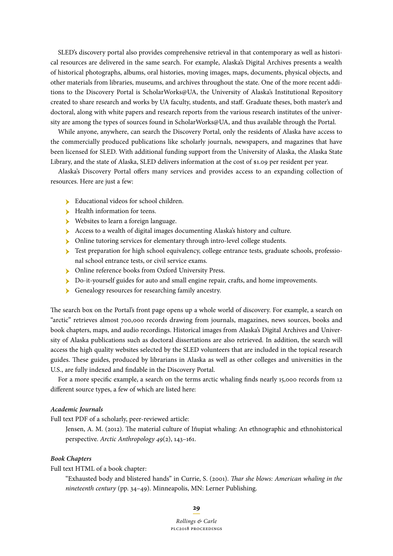SLED's discovery portal also provides comprehensive retrieval in that contemporary as well as historical resources are delivered in the same search. For example, Alaska's Digital Archives presents a wealth of historical photographs, albums, oral histories, moving images, maps, documents, physical objects, and other materials from libraries, museums, and archives throughout the state. One of the more recent additions to the Discovery Portal is ScholarWorks@UA, the University of Alaska's Institutional Repository created to share research and works by UA faculty, students, and staf. Graduate theses, both master's and doctoral, along with white papers and research reports from the various research institutes of the university are among the types of sources found in ScholarWorks@UA, and thus available through the Portal.

While anyone, anywhere, can search the Discovery Portal, only the residents of Alaska have access to the commercially produced publications like scholarly journals, newspapers, and magazines that have been licensed for SLED. With additional funding support from the University of Alaska, the Alaska State Library, and the state of Alaska, SLED delivers information at the cost of \$1.09 per resident per year.

Alaska's Discovery Portal ofers many services and provides access to an expanding collection of resources. Here are just a few:

- **Educational videos for school children.**
- **EXECUTE:** Health information for teens.
- Websites to learn a foreign language.
- Access to a wealth of digital images documenting Alaska's history and culture.
- ӹ Online tutoring services for elementary through intro-level college students.
- is Test preparation for high school equivalency, college entrance tests, graduate schools, professional school entrance tests, or civil service exams.
- **In Online reference books from Oxford University Press.**
- Do-it-yourself guides for auto and small engine repair, crafts, and home improvements.
- **Genealogy resources for researching family ancestry.**

The search box on the Portal's front page opens up a whole world of discovery. For example, a search on "arctic" retrieves almost 700,000 records drawing from journals, magazines, news sources, books and book chapters, maps, and audio recordings. Historical images from Alaska's Digital Archives and University of Alaska publications such as doctoral dissertations are also retrieved. In addition, the search will access the high quality websites selected by the SLED volunteers that are included in the topical research guides. These guides, produced by librarians in Alaska as well as other colleges and universities in the U.S., are fully indexed and fndable in the Discovery Portal.

For a more specifc example, a search on the terms arctic whaling fnds nearly 15,000 records from 12 diferent source types, a few of which are listed here:

#### *Academic Journals*

Full text PDF of a scholarly, peer-reviewed article:

Jensen, A. M. (2012). The material culture of Iñupiat whaling: An ethnographic and ethnohistorical perspective. *Arctic Anthropology 49*(2), 143–161.

#### *Book Chapters*

Full text HTML of a book chapter:

"Exhausted body and blistered hands" in Currie, S. (2001). *Tar she blows: American whaling in the nineteenth century* (pp. 34–49). Minneapolis, MN: Lerner Publishing.

**29**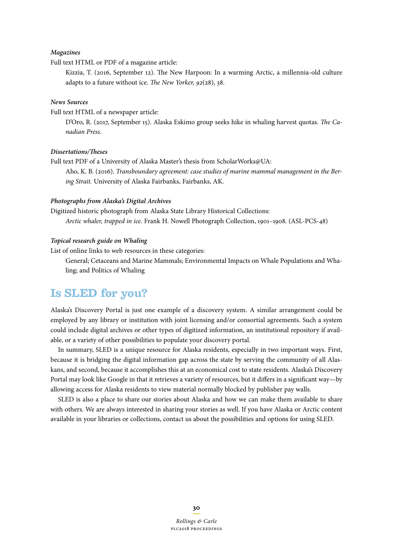#### *Magazines*

Full text HTML or PDF of a magazine article:

Kizzia, T. (2016, September 12). The New Harpoon: In a warming Arctic, a millennia-old culture adapts to a future without ice. *The New Yorker*, 92(28), 38.

#### *News Sources*

Full text HTML of a newspaper article:

D'Oro, R. (2017, September 15). Alaska Eskimo group seeks hike in whaling harvest quotas. *The Canadian Press*.

#### *Dissertations/Teses*

Full text PDF of a University of Alaska Master's thesis from ScholarWorks@UA: Aho, K. B. (2016). *Transboundary agreement: case studies of marine mammal management in the Bering Strait.* University of Alaska Fairbanks, Fairbanks, AK.

#### *Photographs from Alaska's Digital Archives*

Digitized historic photograph from Alaska State Library Historical Collections: *Arctic whaler, trapped in ice.* Frank H. Nowell Photograph Collection, 1901–1908. (ASL-PCS-48)

#### *Topical research guide on Whaling*

List of online links to web resources in these categories:

General; Cetaceans and Marine Mammals; Environmental Impacts on Whale Populations and Whaling; and Politics of Whaling

## **Is SLED for you?**

Alaska's Discovery Portal is just one example of a discovery system. A similar arrangement could be employed by any library or institution with joint licensing and/or consortial agreements. Such a system could include digital archives or other types of digitized information, an institutional repository if available, or a variety of other possibilities to populate your discovery portal.

In summary, SLED is a unique resource for Alaska residents, especially in two important ways. First, because it is bridging the digital information gap across the state by serving the community of all Alaskans, and second, because it accomplishes this at an economical cost to state residents. Alaska's Discovery Portal may look like Google in that it retrieves a variety of resources, but it difers in a signifcant way—by allowing access for Alaska residents to view material normally blocked by publisher pay walls.

SLED is also a place to share our stories about Alaska and how we can make them available to share with others. We are always interested in sharing your stories as well. If you have Alaska or Arctic content available in your libraries or collections, contact us about the possibilities and options for using SLED.

**30**